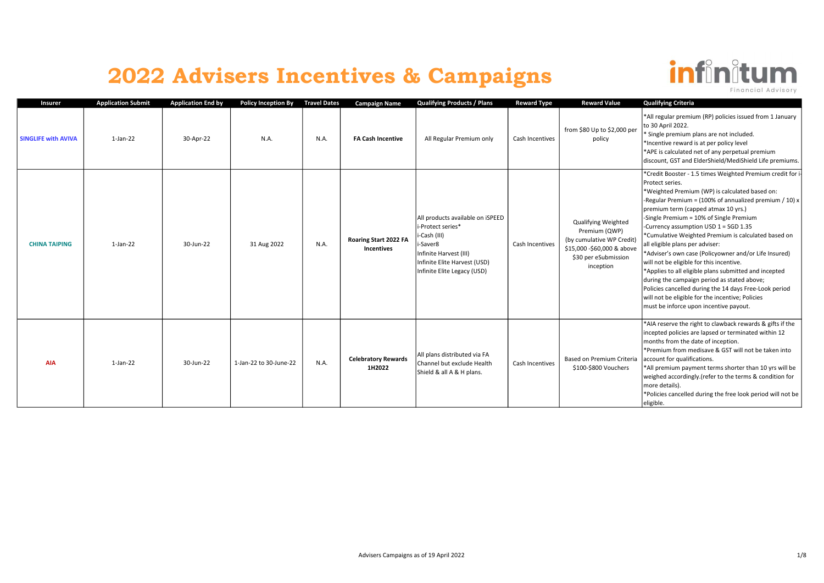

| Insurer                    | <b>Application Submit</b> | Application End by | Policy Inception By Travel Dates |      | <b>Campaign Name</b>                       | <b>Qualifying Products / Plans</b>                                                                                                                                         | <b>Reward Type</b> | <b>Reward Value</b>                                                                                                                         | <b>Qualifying Criteria</b>                                                                                                                                                                                                                                                                                                                                                                                                                                                                                                                                                                                                                                                                                                                                                                      |
|----------------------------|---------------------------|--------------------|----------------------------------|------|--------------------------------------------|----------------------------------------------------------------------------------------------------------------------------------------------------------------------------|--------------------|---------------------------------------------------------------------------------------------------------------------------------------------|-------------------------------------------------------------------------------------------------------------------------------------------------------------------------------------------------------------------------------------------------------------------------------------------------------------------------------------------------------------------------------------------------------------------------------------------------------------------------------------------------------------------------------------------------------------------------------------------------------------------------------------------------------------------------------------------------------------------------------------------------------------------------------------------------|
| <b>SINGLIFE with AVIVA</b> | $1$ -Jan-22               | 30-Apr-22          | N.A.                             | N.A. | <b>FA Cash Incentive</b>                   | All Regular Premium only                                                                                                                                                   | Cash Incentives    | from \$80 Up to \$2,000 per<br>policy                                                                                                       | *All regular premium (RP) policies issued from 1 January<br>to 30 April 2022.<br>* Single premium plans are not included.<br>*Incentive reward is at per policy level<br>*APE is calculated net of any perpetual premium<br>discount, GST and ElderShield/MediShield Life premiums.                                                                                                                                                                                                                                                                                                                                                                                                                                                                                                             |
| <b>CHINA TAIPING</b>       | $1$ -Jan-22               | 30-Jun-22          | 31 Aug 2022                      | N.A. | Roaring Start 2022 FA<br><b>Incentives</b> | All products available on iSPEED<br>i-Protect series*<br>i-Cash (III)<br>i-Saver8<br>Infinite Harvest (III)<br>Infinite Elite Harvest (USD)<br>Infinite Elite Legacy (USD) | Cash Incentives    | <b>Qualifying Weighted</b><br>Premium (QWP)<br>(by cumulative WP Credit)<br>\$15,000 -\$60,000 & above<br>\$30 per eSubmission<br>inception | *Credit Booster - 1.5 times Weighted Premium credit for i-<br>Protect series.<br>*Weighted Premium (WP) is calculated based on:<br>-Regular Premium = $(100\% \text{ of annualized premium } / 10) x$<br>premium term (capped atmax 10 yrs.)<br>-Single Premium = 10% of Single Premium<br>-Currency assumption USD 1 = SGD 1.35<br>*Cumulative Weighted Premium is calculated based on<br>all eligible plans per adviser:<br>*Adviser's own case (Policyowner and/or Life Insured)<br>will not be eligible for this incentive.<br>*Applies to all eligible plans submitted and incepted<br>during the campaign period as stated above;<br>Policies cancelled during the 14 days Free-Look period<br>will not be eligible for the incentive; Policies<br>must be inforce upon incentive payout. |
| <b>AIA</b>                 | $1-Jan-22$                | 30-Jun-22          | 1-Jan-22 to 30-June-22           | N.A. | <b>Celebratory Rewards</b><br>1H2022       | All plans distributed via FA<br>Channel but exclude Health<br>Shield & all A & H plans.                                                                                    | Cash Incentives    | Based on Premium Criteria<br>\$100-\$800 Vouchers                                                                                           | *AIA reserve the right to clawback rewards & gifts if the<br>incepted policies are lapsed or terminated within 12<br>months from the date of inception.<br>*Premium from medisave & GST will not be taken into<br>account for qualifications.<br>*All premium payment terms shorter than 10 yrs will be<br>weighed accordingly.(refer to the terms & condition for<br>more details).<br>*Policies cancelled during the free look period will not be<br>eligible.                                                                                                                                                                                                                                                                                                                                |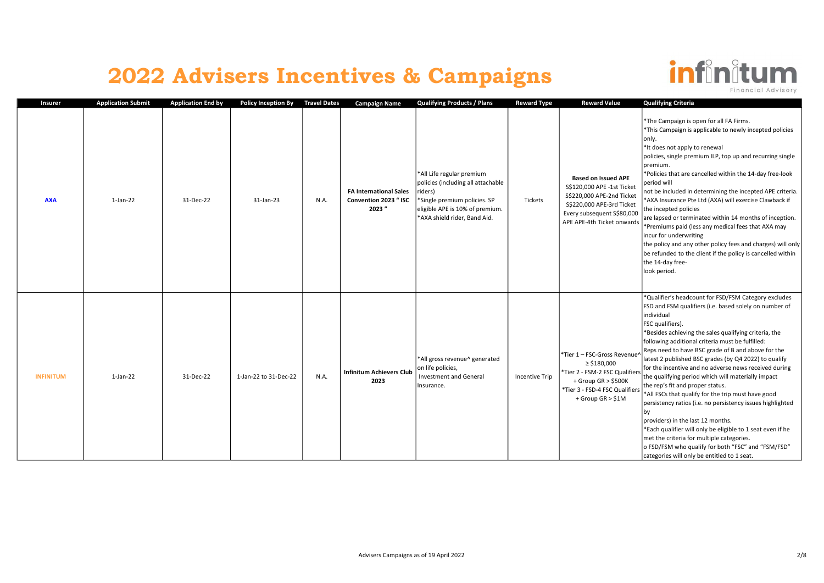

| Insurer          | <b>Application Submit</b> | <b>Application End by</b> | <b>Policy Inception By</b> | <b>Travel Dates</b> | <b>Campaign Name</b>                                            | <b>Qualifying Products / Plans</b>                                                                                                                                            | <b>Reward Type</b> | <b>Reward Value</b>                                                                                                                                                            | <b>Qualifying Criteria</b>                                                                                                                                                                                                                                                                                                                                                                                                                                                                                                                                                                                                                                                                                                                                                                                                                                                                                           |
|------------------|---------------------------|---------------------------|----------------------------|---------------------|-----------------------------------------------------------------|-------------------------------------------------------------------------------------------------------------------------------------------------------------------------------|--------------------|--------------------------------------------------------------------------------------------------------------------------------------------------------------------------------|----------------------------------------------------------------------------------------------------------------------------------------------------------------------------------------------------------------------------------------------------------------------------------------------------------------------------------------------------------------------------------------------------------------------------------------------------------------------------------------------------------------------------------------------------------------------------------------------------------------------------------------------------------------------------------------------------------------------------------------------------------------------------------------------------------------------------------------------------------------------------------------------------------------------|
| <b>AXA</b>       | $1$ -Jan-22               | 31-Dec-22                 | 31-Jan-23                  | N.A.                | <b>FA International Sales</b><br>Convention 2023 " ISC<br>2023" | *All Life regular premium<br>policies (including all attachable<br>riders)<br>*Single premium policies. SP<br>eligible APE is 10% of premium.<br>*AXA shield rider, Band Aid. | Tickets            | <b>Based on Issued APE</b><br>S\$120,000 APE -1st Ticket<br>S\$220,000 APE-2nd Ticket<br>S\$220,000 APE-3rd Ticket<br>Every subsequent S\$80,000<br>APE APE-4th Ticket onwards | *The Campaign is open for all FA Firms.<br>This Campaign is applicable to newly incepted policies<br>only.<br>*It does not apply to renewal<br>policies, single premium ILP, top up and recurring single<br>premium.<br>*Policies that are cancelled within the 14-day free-look<br>period will<br>not be included in determining the incepted APE criteria.<br>*AXA Insurance Pte Ltd (AXA) will exercise Clawback if<br>the incepted policies<br>are lapsed or terminated within 14 months of inception.<br>Premiums paid (less any medical fees that AXA may<br>lincur for underwriting<br>the policy and any other policy fees and charges) will only<br>be refunded to the client if the policy is cancelled within<br>the 14-day free-<br>look period.                                                                                                                                                         |
| <b>INFINITUM</b> | $1$ -Jan-22               | 31-Dec-22                 | 1-Jan-22 to 31-Dec-22      | N.A.                | <b>Infinitum Achievers Club</b><br>2023                         | *All gross revenue^ generated<br>on life policies,<br><b>Investment and General</b><br>Insurance.                                                                             | Incentive Trip     | *Tier 1 - FSC-Gross Revenue'<br>$\ge$ \$180,000<br>*Tier 2 - FSM-2 FSC Qualifiers<br>+ Group GR > \$500K<br>*Tier 3 - FSD-4 FSC Qualifiers<br>+ Group GR > \$1M                | *Qualifier's headcount for FSD/FSM Category excludes<br>FSD and FSM qualifiers (i.e. based solely on number of<br>individual<br><b>FSC</b> qualifiers).<br>Besides achieving the sales qualifying criteria, the<br>following additional criteria must be fulfilled:<br>Reps need to have BSC grade of B and above for the<br>latest 2 published BSC grades (by Q4 2022) to qualify<br>for the incentive and no adverse news received during<br>the qualifying period which will materially impact<br>the rep's fit and proper status.<br>*All FSCs that qualify for the trip must have good<br>persistency ratios (i.e. no persistency issues highlighted<br>bv<br>providers) in the last 12 months.<br>*Each qualifier will only be eligible to 1 seat even if he<br>met the criteria for multiple categories.<br>o FSD/FSM who qualify for both "FSC" and "FSM/FSD"<br>categories will only be entitled to 1 seat. |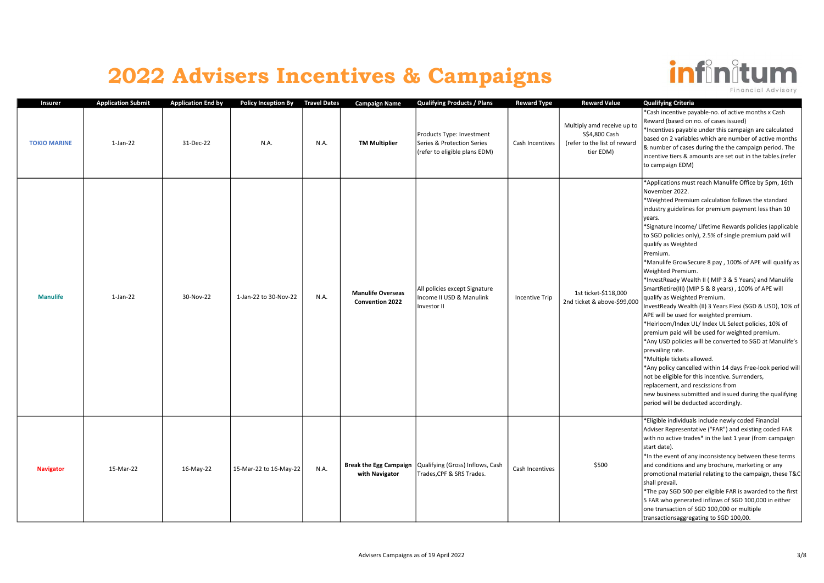

Insurer Mapplication Submit Application End by Policy Inception By Travel Dates Campaign Name Qualifying Products / Plans Reward Type Reward Value Qualifying Criteria TOKIO MARINE 1-Jan-22 31-Dec-22 N.A. N.A. TM Multiplier Products Type: Investment Series & Protection Series (refer to eligible plans EDM) Cash Incentives Multiply amd receive up to S\$4,800 Cash (refer to the list of reward tier EDM) \*Cash incentive payable-no. of active months x Cash Reward (based on no. of cases issued) \*Incentives payable under this campaign are calculated based on 2 variables which are number of active months & number of cases during the the campaign period. The incentive tiers & amounts are set out in the tables.(refer to campaign EDM) Manulife 1-Jan-22 30-Nov-22 1-Jan-22 to 30-Nov-22 N.A. Manulife Overseas Convention 2022 All policies except Signature Income II USD & Manulink Investor II Incentive Trip 1st ticket-\$118,000 2nd ticket & above-\$99,000 \*Applications must reach Manulife Office by 5pm, 16th November 2022. \*Weighted Premium calculation follows the standard industry guidelines for premium payment less than 10 lvears. \*Signature Income/ Lifetime Rewards policies (applicable to SGD policies only), 2.5% of single premium paid will qualify as Weighted Premium. \*Manulife GrowSecure 8 pay , 100% of APE will qualify as Weighted Premium. \*InvestReady Wealth II ( MIP 3 & 5 Years) and Manulife SmartRetire(III) (MIP 5 & 8 years) , 100% of APE will  $\vert$ qualify as Weighted Premium. InvestReady Wealth (II) 3 Years Flexi (SGD & USD), 10% of APE will be used for weighted premium. \*Heirloom/Index UL/ Index UL Select policies, 10% of premium paid will be used for weighted premium. \*Any USD policies will be converted to SGD at Manulife's prevailing rate. \*Multiple tickets allowed. \*Any policy cancelled within 14 days Free-look period will not be eligible for this incentive. Surrenders, replacement, and rescissions from new business submitted and issued during the qualifying period will be deducted accordingly. Navigator 15-Mar-22 16-May-22 15-Mar-22 to 16-May-22 N.A. Break the Egg Campaign with Navigator Qualifying (Gross) Inflows, Cash | Cash Incentives | \$500<br>Trades,CPF & SRS Trades. \*Eligible individuals include newly coded Financial Adviser Representative ("FAR") and existing coded FAR with no active trades\* in the last 1 year (from campaign start date).  $*$ In the event of any inconsistency between these terms and conditions and any brochure, marketing or any promotional material relating to the campaign, these T&C shall prevail. \*The pay SGD 500 per eligible FAR is awarded to the first 5 FAR who generated inflows of SGD 100,000 in either one transaction of SGD 100,000 or multiple transactionsaggregating to SGD 100,00.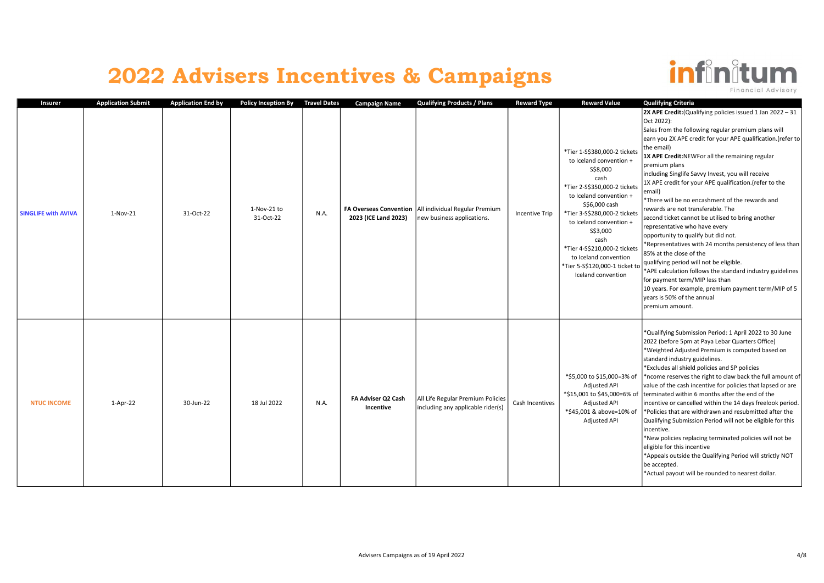

| Insurer                    | <b>Application Submit</b> | <b>Application End by</b> | <b>Policy Inception By</b> | <b>Travel Dates</b> | <b>Campaign Name</b>                                  | <b>Qualifying Products / Plans</b>                                     | <b>Reward Type</b>    | <b>Reward Value</b>                                                                                                                                                                                                                                                                                                                                       | <b>Qualifying Criteria</b>                                                                                                                                                                                                                                                                                                                                                                                                                                                                                                                                                                                                                                                                                                                                                                                                                                                                                                                                                     |
|----------------------------|---------------------------|---------------------------|----------------------------|---------------------|-------------------------------------------------------|------------------------------------------------------------------------|-----------------------|-----------------------------------------------------------------------------------------------------------------------------------------------------------------------------------------------------------------------------------------------------------------------------------------------------------------------------------------------------------|--------------------------------------------------------------------------------------------------------------------------------------------------------------------------------------------------------------------------------------------------------------------------------------------------------------------------------------------------------------------------------------------------------------------------------------------------------------------------------------------------------------------------------------------------------------------------------------------------------------------------------------------------------------------------------------------------------------------------------------------------------------------------------------------------------------------------------------------------------------------------------------------------------------------------------------------------------------------------------|
| <b>SINGLIFE with AVIVA</b> | $1-Nov-21$                | 31-Oct-22                 | 1-Nov-21 to<br>31-Oct-22   | N.A.                | <b>FA Overseas Convention</b><br>2023 (ICE Land 2023) | All individual Regular Premium<br>new business applications.           | <b>Incentive Trip</b> | *Tier 1-S\$380,000-2 tickets<br>to Iceland convention +<br>\$\$8,000<br>cash<br>*Tier 2-S\$350,000-2 tickets<br>to Iceland convention +<br>S\$6,000 cash<br>*Tier 3-S\$280,000-2 tickets<br>to Iceland convention +<br>\$\$3,000<br>cash<br>*Tier 4-S\$210,000-2 tickets<br>to Iceland convention<br>*Tier 5-S\$120,000-1 ticket to<br>Iceland convention | <b>2X APE Credit:</b> (Qualifying policies issued 1 Jan 2022 - 31<br>Oct 2022):<br>Sales from the following regular premium plans will<br>earn you 2X APE credit for your APE qualification.(refer to<br>the email)<br>1X APE Credit:NEWFor all the remaining regular<br>premium plans<br>including Singlife Savvy Invest, you will receive<br>1X APE credit for your APE qualification.(refer to the<br>email)<br>*There will be no encashment of the rewards and<br>rewards are not transferable. The<br>second ticket cannot be utilised to bring another<br>representative who have every<br>opportunity to qualify but did not.<br>*Representatives with 24 months persistency of less than<br>85% at the close of the<br>qualifying period will not be eligible.<br>*APE calculation follows the standard industry guidelines<br>for payment term/MIP less than<br>10 years. For example, premium payment term/MIP of 5<br>years is 50% of the annual<br>premium amount. |
| <b>NTUC INCOME</b>         | $1-Apr-22$                | 30-Jun-22                 | 18 Jul 2022                | N.A.                | FA Adviser Q2 Cash<br>Incentive                       | All Life Regular Premium Policies<br>including any applicable rider(s) | Cash Incentives       | *\$5,000 to \$15,000=3% of<br>Adjusted API<br>*\$15,001 to \$45,000=6% of<br>Adjusted API<br>*\$45,001 & above=10% of<br>Adjusted API                                                                                                                                                                                                                     | *Qualifying Submission Period: 1 April 2022 to 30 June<br>2022 (before 5pm at Paya Lebar Quarters Office)<br>*Weighted Adjusted Premium is computed based on<br>standard industry guidelines.<br>*Excludes all shield policies and SP policies<br>*ncome reserves the right to claw back the full amount of<br>value of the cash incentive for policies that lapsed or are<br>terminated within 6 months after the end of the<br>incentive or cancelled within the 14 days freelook period.<br>*Policies that are withdrawn and resubmitted after the<br>Qualifying Submission Period will not be eligible for this<br>incentive.<br>*New policies replacing terminated policies will not be<br>eligible for this incentive<br>*Appeals outside the Qualifying Period will strictly NOT<br>be accepted.<br>*Actual payout will be rounded to nearest dollar.                                                                                                                   |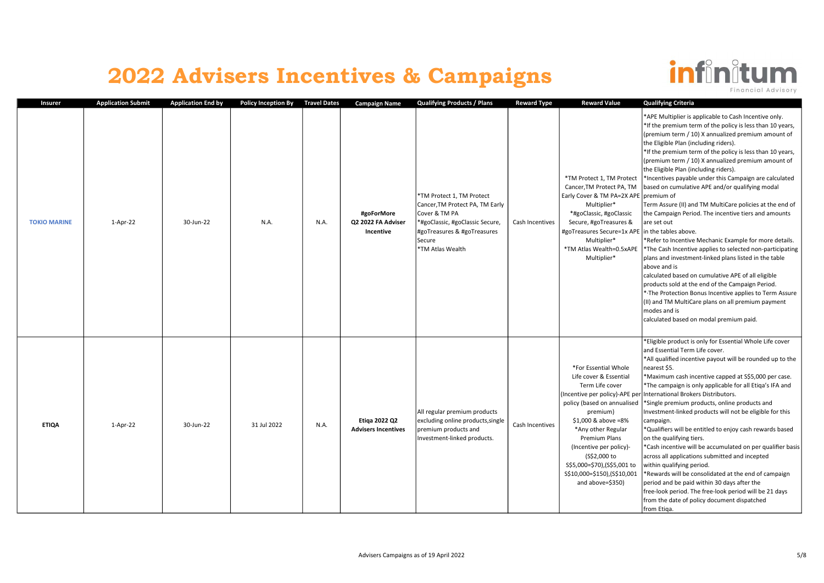

Insurer Mapplication Submit Application End by Policy Inception By Travel Dates Campaign Name Qualifying Products / Plans Reward Type Reward Value Qualifying Criteria TOKIO MARINE 1-Apr-22 30-Jun-22 N.A. N.A. #goForMore Q2 2022 FA Adviser Incentive \*TM Protect 1, TM Protect Cancer,TM Protect PA, TM Early Cover & TM PA \*#goClassic, #goClassic Secure, #goTreasures & #goTreasures Secure \*TM Atlas Wealth Cash Incentives \*TM Protect 1, TM Protect Cancer,TM Protect PA, TM Early Cover & TM PA=2X APE Multiplier\* \*#goClassic, #goClassic Secure, #goTreasures & #goTreasures Secure=1x APE Multiplier\* \*TM Atlas Wealth=0.5xAPE Multiplier\* \*APE Multiplier is applicable to Cash Incentive only. \*If the premium term of the policy is less than 10 years, (premium term / 10) X annualized premium amount of the Eligible Plan (including riders). \*If the premium term of the policy is less than 10 years, (premium term / 10) X annualized premium amount of the Eligible Plan (including riders). \*Incentives payable under this Campaign are calculated based on cumulative APE and/or qualifying modal premium of Term Assure (II) and TM MultiCare policies at the end of the Campaign Period. The incentive tiers and amounts are set out In the tables above. \*Refer to Incentive Mechanic Example for more details. \*The Cash Incentive applies to selected non-participating plans and investment-linked plans listed in the table above and is calculated based on cumulative APE of all eligible products sold at the end of the Campaign Period. \*·The Protection Bonus Incentive applies to Term Assure (II) and TM MultiCare plans on all premium payment modes and is calculated based on modal premium paid. ETIQA 1-Apr-22 30-Jun-22 31 Jul 2022 N.A. Etiqa 2022 Q2 Advisers Incentives All regular premium products excluding online products,single premium products and Investment-linked products. Cash Incentives \*For Essential Whole Life cover & Essential Term Life cover (Incentive per policy)-APE per policy (based on annualised premium) \$1,000 & above =8% \*Any other Regular Premium Plans (Incentive per policy)- (S\$2,000 to S\$5,000=\$70),(S\$5,001 to S\$10,000=\$150),(S\$10,001 and above=\$350) \*Eligible product is only for Essential Whole Life cover and Essential Term Life cover. \*All qualified incentive payout will be rounded up to the nearest \$5. \*Maximum cash incentive capped at S\$5,000 per case. \*The campaign is only applicable for all Etiqa's IFA and International Brokers Distributors. \*Single premium products, online products and Investment-linked products will not be eligible for this campaign. \*Qualifiers will be entitled to enjoy cash rewards based on the qualifying tiers. \*Cash incentive will be accumulated on per qualifier basis across all applications submitted and incepted within qualifying period. \*Rewards will be consolidated at the end of campaign  $\vert$  period and be paid within 30 days after the free-look period. The free-look period will be 21 days from the date of policy document dispatched from Etiqa.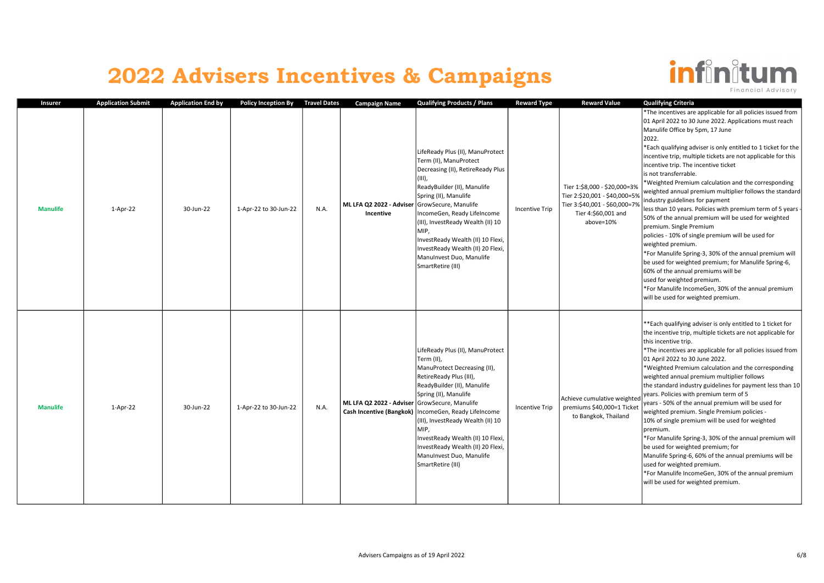

| Insurer         | <b>Application Submit</b> | <b>Application End by</b> | <b>Policy Inception By</b> | <b>Travel Dates</b> | <b>Campaign Name</b>                                       | <b>Qualifying Products / Plans</b>                                                                                                                                                                                                                                                                                                                                                                  | <b>Reward Type</b>    | <b>Reward Value</b>                                                                                                                | <b>Qualifying Criteria</b>                                                                                                                                                                                                                                                                                                                                                                                                                                                                                                                                                                                                                                                                                                                                                                                                                                                                                                                                                                                                            |
|-----------------|---------------------------|---------------------------|----------------------------|---------------------|------------------------------------------------------------|-----------------------------------------------------------------------------------------------------------------------------------------------------------------------------------------------------------------------------------------------------------------------------------------------------------------------------------------------------------------------------------------------------|-----------------------|------------------------------------------------------------------------------------------------------------------------------------|---------------------------------------------------------------------------------------------------------------------------------------------------------------------------------------------------------------------------------------------------------------------------------------------------------------------------------------------------------------------------------------------------------------------------------------------------------------------------------------------------------------------------------------------------------------------------------------------------------------------------------------------------------------------------------------------------------------------------------------------------------------------------------------------------------------------------------------------------------------------------------------------------------------------------------------------------------------------------------------------------------------------------------------|
| <b>Manulife</b> | $1-Apr-22$                | 30-Jun-22                 | 1-Apr-22 to 30-Jun-22      | N.A.                | ML LFA Q2 2022 - Adviser GrowSecure, Manulife<br>Incentive | LifeReady Plus (II), ManuProtect<br>Term (II), ManuProtect<br>Decreasing (II), RetireReady Plus<br>$(III)$ ,<br>ReadyBuilder (II), Manulife<br>Spring (II), Manulife<br>IncomeGen, Ready LifeIncome<br>(III), InvestReady Wealth (II) 10<br>MIP.<br>InvestReady Wealth (II) 10 Flexi,<br>InvestReady Wealth (II) 20 Flexi,<br>ManuInvest Duo, Manulife<br>SmartRetire (III)                         | <b>Incentive Trip</b> | Tier 1:\$8,000 - \$20,000=3%<br>Tier 2:\$20,001 - \$40,000=5%<br>Tier 3:\$40,001 - \$60,000=7%<br>Tier 4:\$60,001 and<br>above=10% | *The incentives are applicable for all policies issued from<br>01 April 2022 to 30 June 2022. Applications must reach<br>Manulife Office by 5pm, 17 June<br>2022.<br>*Each qualifying adviser is only entitled to 1 ticket for the<br>incentive trip, multiple tickets are not applicable for this<br>incentive trip. The incentive ticket<br>is not transferrable.<br>*Weighted Premium calculation and the corresponding<br>weighted annual premium multiplier follows the standard<br>industry guidelines for payment<br>less than 10 years. Policies with premium term of 5 years -<br>50% of the annual premium will be used for weighted<br>premium. Single Premium<br>policies - 10% of single premium will be used for<br>weighted premium.<br>*For Manulife Spring-3, 30% of the annual premium will<br>be used for weighted premium; for Manulife Spring-6,<br>60% of the annual premiums will be<br>used for weighted premium.<br>*For Manulife IncomeGen, 30% of the annual premium<br>will be used for weighted premium. |
| <b>Manulife</b> | 1-Apr-22                  | 30-Jun-22                 | 1-Apr-22 to 30-Jun-22      | N.A.                | ML LFA Q2 2022 - Adviser GrowSecure, Manulife              | LifeReady Plus (II), ManuProtect<br>Term (II),<br>ManuProtect Decreasing (II),<br>RetireReady Plus (III),<br>ReadyBuilder (II), Manulife<br>Spring (II), Manulife<br>Cash Incentive (Bangkok)   IncomeGen, Ready Lifelncome<br>(III), InvestReady Wealth (II) 10<br>MIP.<br>InvestReady Wealth (II) 10 Flexi,<br>InvestReady Wealth (II) 20 Flexi,<br>ManuInvest Duo, Manulife<br>SmartRetire (III) | Incentive Trip        | Achieve cumulative weighted<br>premiums \$40,000=1 Ticket<br>to Bangkok, Thailand                                                  | ** Each qualifying adviser is only entitled to 1 ticket for<br>the incentive trip, multiple tickets are not applicable for<br>this incentive trip.<br>*The incentives are applicable for all policies issued from<br>01 April 2022 to 30 June 2022.<br>*Weighted Premium calculation and the corresponding<br>weighted annual premium multiplier follows<br>the standard industry guidelines for payment less than 10<br>years. Policies with premium term of 5<br>years - 50% of the annual premium will be used for<br>weighted premium. Single Premium policies -<br>10% of single premium will be used for weighted<br>Ipremium.<br>*For Manulife Spring-3, 30% of the annual premium will<br>be used for weighted premium; for<br>Manulife Spring-6, 60% of the annual premiums will be<br>used for weighted premium.<br>*For Manulife IncomeGen, 30% of the annual premium<br>will be used for weighted premium.                                                                                                                |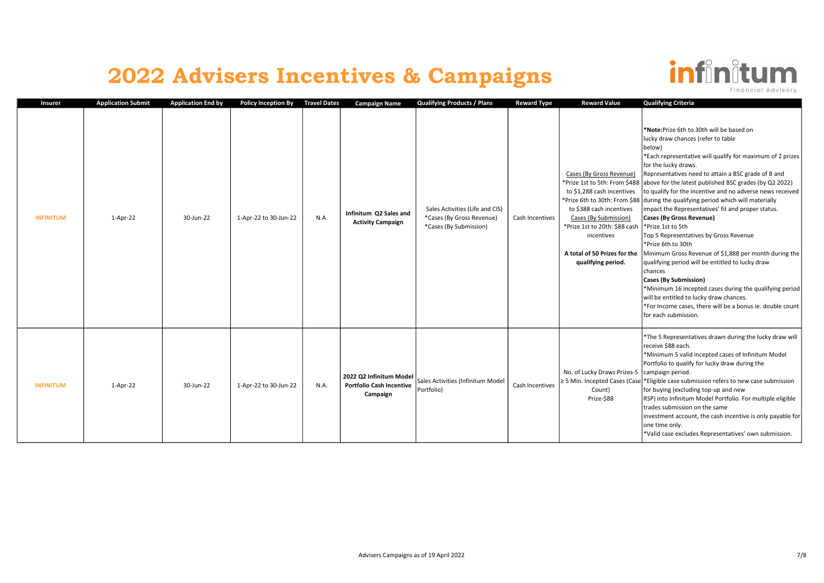

| Insurer          | <b>Application Submit</b> | <b>Application End by</b> | <b>Policy Inception By</b> | <b>Travel Dates</b> | <b>Campaign Name</b>                                                   | <b>Qualifying Products / Plans</b>                                                     | <b>Reward Type</b> | <b>Reward Value</b>                                                                                                                                                              | <b>Qualifying Criteria</b>                                                                                                                                                                                                                                                                                                                                                                                                                                                                                                                                                                                                                                                                                                                                                                                                                                                                                                                                                                                                              |
|------------------|---------------------------|---------------------------|----------------------------|---------------------|------------------------------------------------------------------------|----------------------------------------------------------------------------------------|--------------------|----------------------------------------------------------------------------------------------------------------------------------------------------------------------------------|-----------------------------------------------------------------------------------------------------------------------------------------------------------------------------------------------------------------------------------------------------------------------------------------------------------------------------------------------------------------------------------------------------------------------------------------------------------------------------------------------------------------------------------------------------------------------------------------------------------------------------------------------------------------------------------------------------------------------------------------------------------------------------------------------------------------------------------------------------------------------------------------------------------------------------------------------------------------------------------------------------------------------------------------|
| <b>INFINITUM</b> | 1-Apr-22                  | 30-Jun-22                 | 1-Apr-22 to 30-Jun-22      | N.A.                | Infinitum Q2 Sales and<br><b>Activity Campaign</b>                     | Sales Activities (Life and CIS)<br>*Cases (By Gross Revenue)<br>*Cases (By Submission) | Cash Incentives    | Cases (By Gross Revenue)<br>to \$1,288 cash incentives<br>to \$388 cash incentives<br>Cases (By Submission)<br>*Prize 1st to 20th: \$88 cash<br>incentives<br>qualifying period. | *Note: Prize 6th to 30th will be based on<br>lucky draw chances (refer to table<br>below)<br>*Each representative will qualify for maximum of 2 prizes<br>for the lucky draws.<br>Representatives need to attain a BSC grade of B and<br>*Prize 1st to 5th: From \$488 above for the latest published BSC grades (by Q2 2022)<br>to qualify for the incentive and no adverse news received<br>*Prize 6th to 30th: From \$88 during the qualifying period which will materially<br>impact the Representatives' fit and proper status.<br>Cases (By Gross Revenue)<br>*Prize 1st to 5th<br>Top 5 Representatives by Gross Revenue<br>*Prize 6th to 30th<br>A total of 50 Prizes for the   Minimum Gross Revenue of \$1,888 per month during the<br>qualifying period will be entitled to lucky draw<br>chances<br><b>Cases (By Submission)</b><br>*Minimum 16 incepted cases during the qualifying period<br>will be entitled to lucky draw chances.<br>*For Income cases, there will be a bonus ie. double count<br>for each submission. |
| <b>INFINITUM</b> | 1-Apr-22                  | 30-Jun-22                 | 1-Apr-22 to 30-Jun-22      | N.A.                | 2022 Q2 Infinitum Model<br><b>Portfolio Cash Incentive</b><br>Campaign | Sales Activities (Infinitum Model<br>Portfolio)                                        | Cash Incentives    | No. of Lucky Draws Prizes-5   campaign period.<br>Count)<br>Prize-\$88                                                                                                           | *The 5 Representatives drawn during the lucky draw will<br>receive \$88 each.<br>*Minimum 5 valid incepted cases of Infinitum Model<br>Portfolio to qualify for lucky draw during the<br>$\geq$ 5 Min. Incepted Cases (Case * Eligible case submission refers to new case submission<br>for buying (excluding top-up and new<br>RSP) into Infinitum Model Portfolio. For multiple eligible<br>trades submission on the same<br>investment account, the cash incentive is only payable for<br>one time only.<br>*Valid case excludes Representatives' own submission.                                                                                                                                                                                                                                                                                                                                                                                                                                                                    |